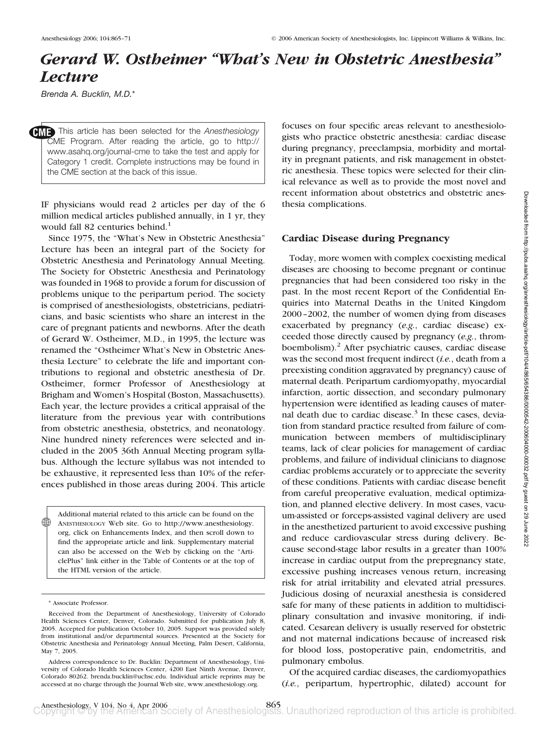# *Gerard W. Ostheimer "What's New in Obstetric Anesthesia" Lecture*

*Brenda A. Bucklin, M.D.*\*

**ANT** This article has been selected for the *Anesthesiology* CME Program. After reading the article, go to http:// www.asahq.org/journal-cme to take the test and apply for Category 1 credit. Complete instructions may be found in the CME section at the back of this issue.

IF physicians would read 2 articles per day of the 6 million medical articles published annually, in 1 yr, they would fall 82 centuries behind.<sup>1</sup>

Since 1975, the "What's New in Obstetric Anesthesia" Lecture has been an integral part of the Society for Obstetric Anesthesia and Perinatology Annual Meeting. The Society for Obstetric Anesthesia and Perinatology was founded in 1968 to provide a forum for discussion of problems unique to the peripartum period. The society is comprised of anesthesiologists, obstetricians, pediatricians, and basic scientists who share an interest in the care of pregnant patients and newborns. After the death of Gerard W. Ostheimer, M.D., in 1995, the lecture was renamed the "Ostheimer What's New in Obstetric Anesthesia Lecture" to celebrate the life and important contributions to regional and obstetric anesthesia of Dr. Ostheimer, former Professor of Anesthesiology at Brigham and Women's Hospital (Boston, Massachusetts). Each year, the lecture provides a critical appraisal of the literature from the previous year with contributions from obstetric anesthesia, obstetrics, and neonatology. Nine hundred ninety references were selected and included in the 2005 36th Annual Meeting program syllabus. Although the lecture syllabus was not intended to be exhaustive, it represented less than 10% of the references published in those areas during 2004. This article

Additional material related to this article can be found on the ANESTHESIOLOGY Web site. Go to http://www.anesthesiology. org, click on Enhancements Index, and then scroll down to find the appropriate article and link. Supplementary material can also be accessed on the Web by clicking on the "ArticlePlus" link either in the Table of Contents or at the top of the HTML version of the article. ♠

focuses on four specific areas relevant to anesthesiologists who practice obstetric anesthesia: cardiac disease during pregnancy, preeclampsia, morbidity and mortality in pregnant patients, and risk management in obstetric anesthesia. These topics were selected for their clinical relevance as well as to provide the most novel and recent information about obstetrics and obstetric anesthesia complications.

#### **Cardiac Disease during Pregnancy**

Today, more women with complex coexisting medical diseases are choosing to become pregnant or continue pregnancies that had been considered too risky in the past. In the most recent Report of the Confidential Enquiries into Maternal Deaths in the United Kingdom 2000–2002, the number of women dying from diseases exacerbated by pregnancy (*e.g.*, cardiac disease) exceeded those directly caused by pregnancy (*e.g.*, thromboembolism). $<sup>2</sup>$  After psychiatric causes, cardiac disease</sup> was the second most frequent indirect (*i.e.*, death from a preexisting condition aggravated by pregnancy) cause of maternal death. Peripartum cardiomyopathy, myocardial infarction, aortic dissection, and secondary pulmonary hypertension were identified as leading causes of maternal death due to cardiac disease. $3$  In these cases, deviation from standard practice resulted from failure of communication between members of multidisciplinary teams, lack of clear policies for management of cardiac problems, and failure of individual clinicians to diagnose cardiac problems accurately or to appreciate the severity of these conditions. Patients with cardiac disease benefit from careful preoperative evaluation, medical optimization, and planned elective delivery. In most cases, vacuum-assisted or forceps-assisted vaginal delivery are used in the anesthetized parturient to avoid excessive pushing and reduce cardiovascular stress during delivery. Because second-stage labor results in a greater than 100% increase in cardiac output from the prepregnancy state, excessive pushing increases venous return, increasing risk for atrial irritability and elevated atrial pressures. Judicious dosing of neuraxial anesthesia is considered safe for many of these patients in addition to multidisciplinary consultation and invasive monitoring, if indicated. Cesarean delivery is usually reserved for obstetric and not maternal indications because of increased risk for blood loss, postoperative pain, endometritis, and pulmonary embolus.

Of the acquired cardiac diseases, the cardiomyopathies (*i.e.*, peripartum, hypertrophic, dilated) account for

<sup>\*</sup> Associate Professor.

Received from the Department of Anesthesiology, University of Colorado Health Sciences Center, Denver, Colorado. Submitted for publication July 8, 2005. Accepted for publication October 10, 2005. Support was provided solely from institutional and/or departmental sources. Presented at the Society for Obstetric Anesthesia and Perinatology Annual Meeting, Palm Desert, California, May 7, 2005.

Address correspondence to Dr. Bucklin: Department of Anesthesiology, University of Colorado Health Sciences Center, 4200 East Ninth Avenue, Denver, Colorado 80262. brenda.bucklin@uchsc.edu. Individual article reprints may be accessed at no charge through the Journal Web site, www.anesthesiology.org.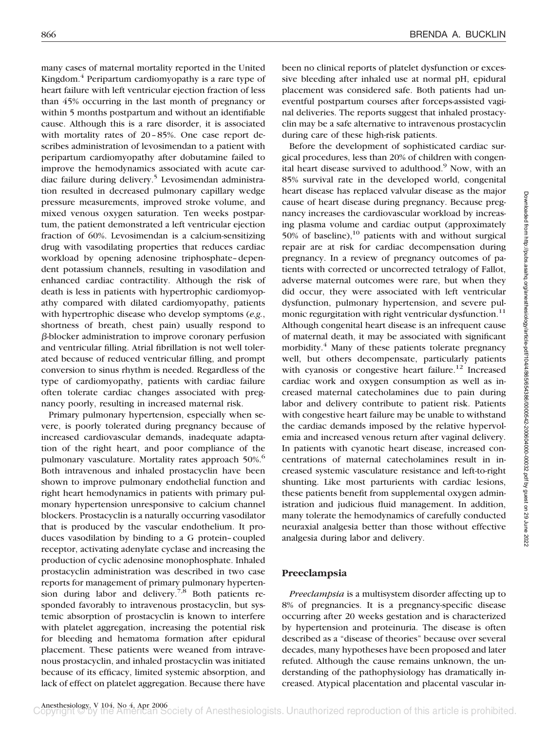many cases of maternal mortality reported in the United Kingdom.<sup>4</sup> Peripartum cardiomyopathy is a rare type of heart failure with left ventricular ejection fraction of less than 45% occurring in the last month of pregnancy or within 5 months postpartum and without an identifiable cause. Although this is a rare disorder, it is associated with mortality rates of 20–85%. One case report describes administration of levosimendan to a patient with peripartum cardiomyopathy after dobutamine failed to improve the hemodynamics associated with acute cardiac failure during delivery.<sup>5</sup> Levosimendan administration resulted in decreased pulmonary capillary wedge pressure measurements, improved stroke volume, and mixed venous oxygen saturation. Ten weeks postpartum, the patient demonstrated a left ventricular ejection fraction of 60%. Levosimendan is a calcium-sensitizing drug with vasodilating properties that reduces cardiac workload by opening adenosine triphosphate–dependent potassium channels, resulting in vasodilation and enhanced cardiac contractility. Although the risk of death is less in patients with hypertrophic cardiomyopathy compared with dilated cardiomyopathy, patients with hypertrophic disease who develop symptoms (*e.g.*, shortness of breath, chest pain) usually respond to -blocker administration to improve coronary perfusion and ventricular filling. Atrial fibrillation is not well tolerated because of reduced ventricular filling, and prompt conversion to sinus rhythm is needed. Regardless of the type of cardiomyopathy, patients with cardiac failure often tolerate cardiac changes associated with pregnancy poorly, resulting in increased maternal risk.

Primary pulmonary hypertension, especially when severe, is poorly tolerated during pregnancy because of increased cardiovascular demands, inadequate adaptation of the right heart, and poor compliance of the pulmonary vasculature. Mortality rates approach 50%.<sup>6</sup> Both intravenous and inhaled prostacyclin have been shown to improve pulmonary endothelial function and right heart hemodynamics in patients with primary pulmonary hypertension unresponsive to calcium channel blockers. Prostacyclin is a naturally occurring vasodilator that is produced by the vascular endothelium. It produces vasodilation by binding to a G protein–coupled receptor, activating adenylate cyclase and increasing the production of cyclic adenosine monophosphate. Inhaled prostacyclin administration was described in two case reports for management of primary pulmonary hypertension during labor and delivery.<sup>7,8</sup> Both patients responded favorably to intravenous prostacyclin, but systemic absorption of prostacyclin is known to interfere with platelet aggregation, increasing the potential risk for bleeding and hematoma formation after epidural placement. These patients were weaned from intravenous prostacyclin, and inhaled prostacyclin was initiated because of its efficacy, limited systemic absorption, and lack of effect on platelet aggregation. Because there have been no clinical reports of platelet dysfunction or excessive bleeding after inhaled use at normal pH, epidural placement was considered safe. Both patients had uneventful postpartum courses after forceps-assisted vaginal deliveries. The reports suggest that inhaled prostacyclin may be a safe alternative to intravenous prostacyclin during care of these high-risk patients.

Before the development of sophisticated cardiac surgical procedures, less than 20% of children with congenital heart disease survived to adulthood.<sup>9</sup> Now, with an 85% survival rate in the developed world, congenital heart disease has replaced valvular disease as the major cause of heart disease during pregnancy. Because pregnancy increases the cardiovascular workload by increasing plasma volume and cardiac output (approximately 50% of baseline), $10$  patients with and without surgical repair are at risk for cardiac decompensation during pregnancy. In a review of pregnancy outcomes of patients with corrected or uncorrected tetralogy of Fallot, adverse maternal outcomes were rare, but when they did occur, they were associated with left ventricular dysfunction, pulmonary hypertension, and severe pulmonic regurgitation with right ventricular dysfunction.<sup>11</sup> Although congenital heart disease is an infrequent cause of maternal death, it may be associated with significant morbidity. $4$  Many of these patients tolerate pregnancy well, but others decompensate, particularly patients with cyanosis or congestive heart failure.<sup>12</sup> Increased cardiac work and oxygen consumption as well as increased maternal catecholamines due to pain during labor and delivery contribute to patient risk. Patients with congestive heart failure may be unable to withstand the cardiac demands imposed by the relative hypervolemia and increased venous return after vaginal delivery. In patients with cyanotic heart disease, increased concentrations of maternal catecholamines result in increased systemic vasculature resistance and left-to-right shunting. Like most parturients with cardiac lesions, these patients benefit from supplemental oxygen administration and judicious fluid management. In addition, many tolerate the hemodynamics of carefully conducted neuraxial analgesia better than those without effective analgesia during labor and delivery.

# **Preeclampsia**

*Preeclampsia* is a multisystem disorder affecting up to 8% of pregnancies. It is a pregnancy-specific disease occurring after 20 weeks gestation and is characterized by hypertension and proteinuria. The disease is often described as a "disease of theories" because over several decades, many hypotheses have been proposed and later refuted. Although the cause remains unknown, the understanding of the pathophysiology has dramatically increased. Atypical placentation and placental vascular in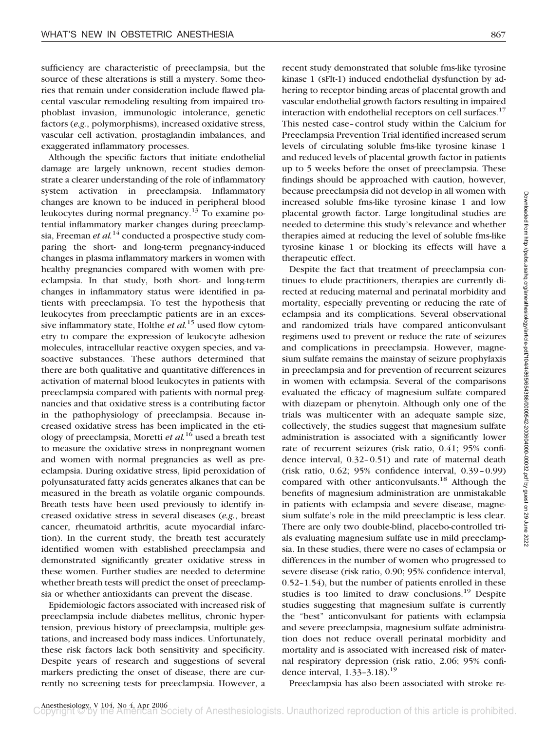sufficiency are characteristic of preeclampsia, but the source of these alterations is still a mystery. Some theories that remain under consideration include flawed placental vascular remodeling resulting from impaired trophoblast invasion, immunologic intolerance, genetic factors (*e.g.*, polymorphisms), increased oxidative stress, vascular cell activation, prostaglandin imbalances, and exaggerated inflammatory processes.

Although the specific factors that initiate endothelial damage are largely unknown, recent studies demonstrate a clearer understanding of the role of inflammatory system activation in preeclampsia. Inflammatory changes are known to be induced in peripheral blood leukocytes during normal pregnancy.13 To examine potential inflammatory marker changes during preeclampsia, Freeman *et al.*<sup>14</sup> conducted a prospective study comparing the short- and long-term pregnancy-induced changes in plasma inflammatory markers in women with healthy pregnancies compared with women with preeclampsia. In that study, both short- and long-term changes in inflammatory status were identified in patients with preeclampsia. To test the hypothesis that leukocytes from preeclamptic patients are in an excessive inflammatory state, Holthe *et al.*<sup>15</sup> used flow cytometry to compare the expression of leukocyte adhesion molecules, intracellular reactive oxygen species, and vasoactive substances. These authors determined that there are both qualitative and quantitative differences in activation of maternal blood leukocytes in patients with preeclampsia compared with patients with normal pregnancies and that oxidative stress is a contributing factor in the pathophysiology of preeclampsia. Because increased oxidative stress has been implicated in the etiology of preeclampsia, Moretti *et al.*<sup>16</sup> used a breath test to measure the oxidative stress in nonpregnant women and women with normal pregnancies as well as preeclampsia. During oxidative stress, lipid peroxidation of polyunsaturated fatty acids generates alkanes that can be measured in the breath as volatile organic compounds. Breath tests have been used previously to identify increased oxidative stress in several diseases (*e.g.*, breast cancer, rheumatoid arthritis, acute myocardial infarction). In the current study, the breath test accurately identified women with established preeclampsia and demonstrated significantly greater oxidative stress in these women. Further studies are needed to determine whether breath tests will predict the onset of preeclampsia or whether antioxidants can prevent the disease.

Epidemiologic factors associated with increased risk of preeclampsia include diabetes mellitus, chronic hypertension, previous history of preeclampsia, multiple gestations, and increased body mass indices. Unfortunately, these risk factors lack both sensitivity and specificity. Despite years of research and suggestions of several markers predicting the onset of disease, there are currently no screening tests for preeclampsia. However, a

recent study demonstrated that soluble fms-like tyrosine kinase 1 (sFlt-1) induced endothelial dysfunction by adhering to receptor binding areas of placental growth and vascular endothelial growth factors resulting in impaired interaction with endothelial receptors on cell surfaces.<sup>17</sup> This nested case–control study within the Calcium for Preeclampsia Prevention Trial identified increased serum levels of circulating soluble fms-like tyrosine kinase 1 and reduced levels of placental growth factor in patients up to 5 weeks before the onset of preeclampsia. These findings should be approached with caution, however, because preeclampsia did not develop in all women with increased soluble fms-like tyrosine kinase 1 and low placental growth factor. Large longitudinal studies are needed to determine this study's relevance and whether therapies aimed at reducing the level of soluble fms-like tyrosine kinase 1 or blocking its effects will have a therapeutic effect.

Despite the fact that treatment of preeclampsia continues to elude practitioners, therapies are currently directed at reducing maternal and perinatal morbidity and mortality, especially preventing or reducing the rate of eclampsia and its complications. Several observational and randomized trials have compared anticonvulsant regimens used to prevent or reduce the rate of seizures and complications in preeclampsia. However, magnesium sulfate remains the mainstay of seizure prophylaxis in preeclampsia and for prevention of recurrent seizures in women with eclampsia. Several of the comparisons evaluated the efficacy of magnesium sulfate compared with diazepam or phenytoin. Although only one of the trials was multicenter with an adequate sample size, collectively, the studies suggest that magnesium sulfate administration is associated with a significantly lower rate of recurrent seizures (risk ratio, 0.41; 95% confidence interval, 0.32–0.51) and rate of maternal death (risk ratio, 0.62; 95% confidence interval, 0.39–0.99) compared with other anticonvulsants.<sup>18</sup> Although the benefits of magnesium administration are unmistakable in patients with eclampsia and severe disease, magnesium sulfate's role in the mild preeclamptic is less clear. There are only two double-blind, placebo-controlled trials evaluating magnesium sulfate use in mild preeclampsia. In these studies, there were no cases of eclampsia or differences in the number of women who progressed to severe disease (risk ratio, 0.90; 95% confidence interval, 0.52–1.54), but the number of patients enrolled in these studies is too limited to draw conclusions.<sup>19</sup> Despite studies suggesting that magnesium sulfate is currently the "best" anticonvulsant for patients with eclampsia and severe preeclampsia, magnesium sulfate administration does not reduce overall perinatal morbidity and mortality and is associated with increased risk of maternal respiratory depression (risk ratio, 2.06; 95% confidence interval, 1.33-3.18).<sup>19</sup>

Preeclampsia has also been associated with stroke re-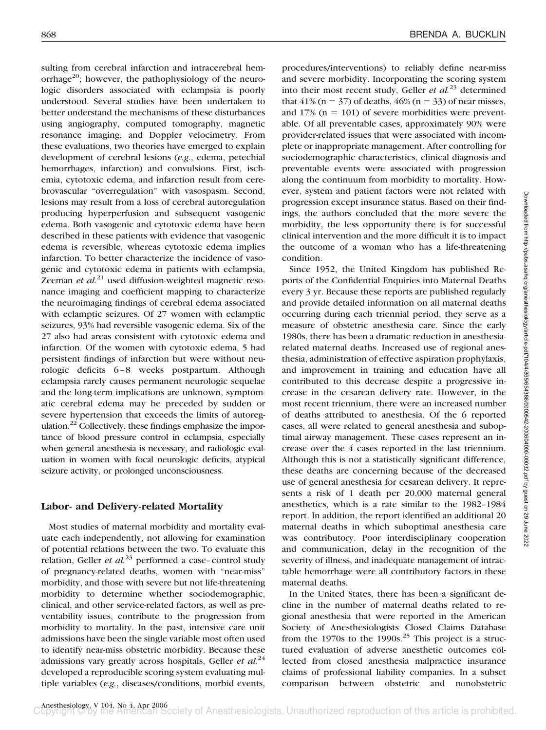sulting from cerebral infarction and intracerebral hemorrhage<sup>20</sup>; however, the pathophysiology of the neurologic disorders associated with eclampsia is poorly understood. Several studies have been undertaken to better understand the mechanisms of these disturbances using angiography, computed tomography, magnetic resonance imaging, and Doppler velocimetry. From these evaluations, two theories have emerged to explain development of cerebral lesions (*e.g.*, edema, petechial hemorrhages, infarction) and convulsions. First, ischemia, cytotoxic edema, and infarction result from cerebrovascular "overregulation" with vasospasm. Second, lesions may result from a loss of cerebral autoregulation producing hyperperfusion and subsequent vasogenic edema. Both vasogenic and cytotoxic edema have been described in these patients with evidence that vasogenic edema is reversible, whereas cytotoxic edema implies infarction. To better characterize the incidence of vasogenic and cytotoxic edema in patients with eclampsia, Zeeman *et al.*<sup>21</sup> used diffusion-weighted magnetic resonance imaging and coefficient mapping to characterize the neuroimaging findings of cerebral edema associated with eclamptic seizures. Of 27 women with eclamptic seizures, 93% had reversible vasogenic edema. Six of the 27 also had areas consistent with cytotoxic edema and infarction. Of the women with cytotoxic edema, 5 had persistent findings of infarction but were without neurologic deficits 6–8 weeks postpartum. Although eclampsia rarely causes permanent neurologic sequelae and the long-term implications are unknown, symptomatic cerebral edema may be preceded by sudden or severe hypertension that exceeds the limits of autoregulation.22 Collectively, these findings emphasize the importance of blood pressure control in eclampsia, especially when general anesthesia is necessary, and radiologic evaluation in women with focal neurologic deficits, atypical seizure activity, or prolonged unconsciousness.

# **Labor- and Delivery-related Mortality**

Most studies of maternal morbidity and mortality evaluate each independently, not allowing for examination of potential relations between the two. To evaluate this relation, Geller *et al.*<sup>23</sup> performed a case-control study of pregnancy-related deaths, women with "near-miss" morbidity, and those with severe but not life-threatening morbidity to determine whether sociodemographic, clinical, and other service-related factors, as well as preventability issues, contribute to the progression from morbidity to mortality. In the past, intensive care unit admissions have been the single variable most often used to identify near-miss obstetric morbidity. Because these admissions vary greatly across hospitals, Geller *et al.*<sup>24</sup> developed a reproducible scoring system evaluating multiple variables (*e.g.*, diseases/conditions, morbid events,

procedures/interventions) to reliably define near-miss and severe morbidity. Incorporating the scoring system into their most recent study, Geller *et al.*<sup>23</sup> determined that 41% ( $n = 37$ ) of deaths, 46% ( $n = 33$ ) of near misses, and 17% ( $n = 101$ ) of severe morbidities were preventable. Of all preventable cases, approximately 90% were provider-related issues that were associated with incomplete or inappropriate management. After controlling for sociodemographic characteristics, clinical diagnosis and preventable events were associated with progression along the continuum from morbidity to mortality. However, system and patient factors were not related with progression except insurance status. Based on their findings, the authors concluded that the more severe the morbidity, the less opportunity there is for successful clinical intervention and the more difficult it is to impact the outcome of a woman who has a life-threatening condition.

Since 1952, the United Kingdom has published Reports of the Confidential Enquiries into Maternal Deaths every 3 yr. Because these reports are published regularly and provide detailed information on all maternal deaths occurring during each triennial period, they serve as a measure of obstetric anesthesia care. Since the early 1980s, there has been a dramatic reduction in anesthesiarelated maternal deaths. Increased use of regional anesthesia, administration of effective aspiration prophylaxis, and improvement in training and education have all contributed to this decrease despite a progressive increase in the cesarean delivery rate. However, in the most recent triennium, there were an increased number of deaths attributed to anesthesia. Of the 6 reported cases, all were related to general anesthesia and suboptimal airway management. These cases represent an increase over the 4 cases reported in the last triennium. Although this is not a statistically significant difference, these deaths are concerning because of the decreased use of general anesthesia for cesarean delivery. It represents a risk of 1 death per 20,000 maternal general anesthetics, which is a rate similar to the 1982–1984 report. In addition, the report identified an additional 20 maternal deaths in which suboptimal anesthesia care was contributory. Poor interdisciplinary cooperation and communication, delay in the recognition of the severity of illness, and inadequate management of intractable hemorrhage were all contributory factors in these maternal deaths.

In the United States, there has been a significant decline in the number of maternal deaths related to regional anesthesia that were reported in the American Society of Anesthesiologists Closed Claims Database from the 1970s to the 1990s.<sup>25</sup> This project is a structured evaluation of adverse anesthetic outcomes collected from closed anesthesia malpractice insurance claims of professional liability companies. In a subset comparison between obstetric and nonobstetric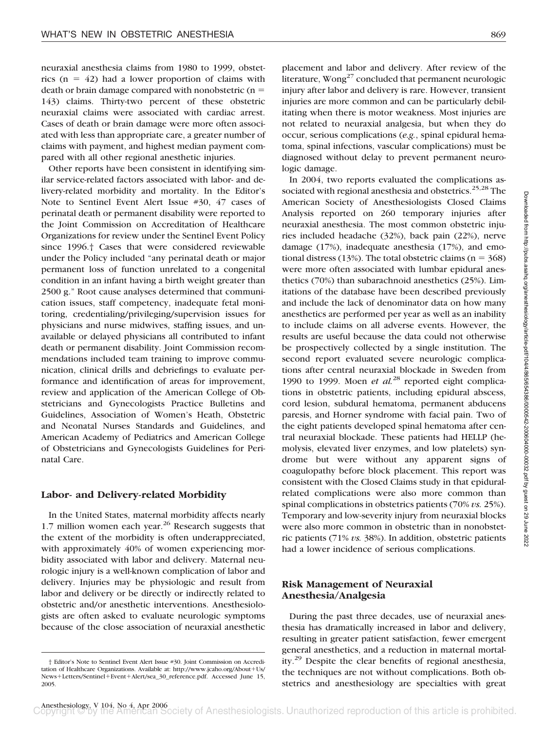neuraxial anesthesia claims from 1980 to 1999, obstetrics ( $n = 42$ ) had a lower proportion of claims with death or brain damage compared with nonobstetric  $(n =$ 143) claims. Thirty-two percent of these obstetric neuraxial claims were associated with cardiac arrest. Cases of death or brain damage were more often associated with less than appropriate care, a greater number of claims with payment, and highest median payment compared with all other regional anesthetic injuries.

Other reports have been consistent in identifying similar service-related factors associated with labor- and delivery-related morbidity and mortality. In the Editor's Note to Sentinel Event Alert Issue #30, 47 cases of perinatal death or permanent disability were reported to the Joint Commission on Accreditation of Healthcare Organizations for review under the Sentinel Event Policy since 1996.† Cases that were considered reviewable under the Policy included "any perinatal death or major permanent loss of function unrelated to a congenital condition in an infant having a birth weight greater than 2500 g." Root cause analyses determined that communication issues, staff competency, inadequate fetal monitoring, credentialing/privileging/supervision issues for physicians and nurse midwives, staffing issues, and unavailable or delayed physicians all contributed to infant death or permanent disability. Joint Commission recommendations included team training to improve communication, clinical drills and debriefings to evaluate performance and identification of areas for improvement, review and application of the American College of Obstetricians and Gynecologists Practice Bulletins and Guidelines, Association of Women's Heath, Obstetric and Neonatal Nurses Standards and Guidelines, and American Academy of Pediatrics and American College of Obstetricians and Gynecologists Guidelines for Perinatal Care.

#### **Labor- and Delivery-related Morbidity**

In the United States, maternal morbidity affects nearly 1.7 million women each year. $26$  Research suggests that the extent of the morbidity is often underappreciated, with approximately 40% of women experiencing morbidity associated with labor and delivery. Maternal neurologic injury is a well-known complication of labor and delivery. Injuries may be physiologic and result from labor and delivery or be directly or indirectly related to obstetric and/or anesthetic interventions. Anesthesiologists are often asked to evaluate neurologic symptoms because of the close association of neuraxial anesthetic placement and labor and delivery. After review of the literature,  $Wong<sup>27</sup>$  concluded that permanent neurologic injury after labor and delivery is rare. However, transient injuries are more common and can be particularly debilitating when there is motor weakness. Most injuries are not related to neuraxial analgesia, but when they do occur, serious complications (*e.g.*, spinal epidural hematoma, spinal infections, vascular complications) must be diagnosed without delay to prevent permanent neurologic damage.

In 2004, two reports evaluated the complications associated with regional anesthesia and obstetrics.<sup>25,28</sup> The American Society of Anesthesiologists Closed Claims Analysis reported on 260 temporary injuries after neuraxial anesthesia. The most common obstetric injuries included headache (32%), back pain (22%), nerve damage (17%), inadequate anesthesia (17%), and emotional distress (13%). The total obstetric claims ( $n = 368$ ) were more often associated with lumbar epidural anesthetics (70%) than subarachnoid anesthetics (25%). Limitations of the database have been described previously and include the lack of denominator data on how many anesthetics are performed per year as well as an inability to include claims on all adverse events. However, the results are useful because the data could not otherwise be prospectively collected by a single institution. The second report evaluated severe neurologic complications after central neuraxial blockade in Sweden from 1990 to 1999. Moen *et al.*<sup>28</sup> reported eight complications in obstetric patients, including epidural abscess, cord lesion, subdural hematoma, permanent abducens paresis, and Horner syndrome with facial pain. Two of the eight patients developed spinal hematoma after central neuraxial blockade. These patients had HELLP (hemolysis, elevated liver enzymes, and low platelets) syndrome but were without any apparent signs of coagulopathy before block placement. This report was consistent with the Closed Claims study in that epiduralrelated complications were also more common than spinal complications in obstetrics patients (70% *vs.* 25%). Temporary and low-severity injury from neuraxial blocks were also more common in obstetric than in nonobstetric patients (71% *vs.* 38%). In addition, obstetric patients had a lower incidence of serious complications.

# **Risk Management of Neuraxial Anesthesia/Analgesia**

During the past three decades, use of neuraxial anesthesia has dramatically increased in labor and delivery, resulting in greater patient satisfaction, fewer emergent general anesthetics, and a reduction in maternal mortality.29 Despite the clear benefits of regional anesthesia, the techniques are not without complications. Both obstetrics and anesthesiology are specialties with great

<sup>†</sup> Editor's Note to Sentinel Event Alert Issue #30. Joint Commission on Accreditation of Healthcare Organizations. Available at: http://www.jcaho.org/About-Us/ News-Letters/Sentinel-Event-Alert/sea\_30\_reference.pdf. Accessed June 15, 2005.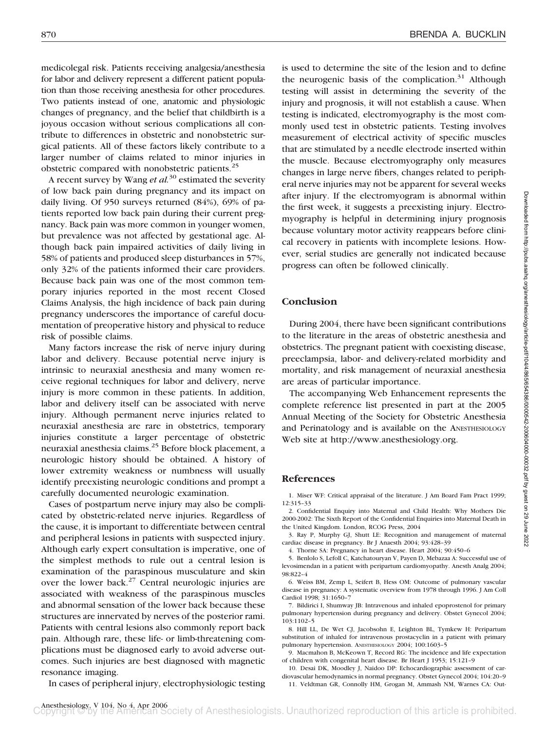medicolegal risk. Patients receiving analgesia/anesthesia for labor and delivery represent a different patient population than those receiving anesthesia for other procedures. Two patients instead of one, anatomic and physiologic changes of pregnancy, and the belief that childbirth is a joyous occasion without serious complications all contribute to differences in obstetric and nonobstetric surgical patients. All of these factors likely contribute to a larger number of claims related to minor injuries in obstetric compared with nonobstetric patients.25

A recent survey by Wang *et al.*<sup>30</sup> estimated the severity of low back pain during pregnancy and its impact on daily living. Of 950 surveys returned (84%), 69% of patients reported low back pain during their current pregnancy. Back pain was more common in younger women, but prevalence was not affected by gestational age. Although back pain impaired activities of daily living in 58% of patients and produced sleep disturbances in 57%, only 32% of the patients informed their care providers. Because back pain was one of the most common temporary injuries reported in the most recent Closed Claims Analysis, the high incidence of back pain during pregnancy underscores the importance of careful documentation of preoperative history and physical to reduce risk of possible claims.

Many factors increase the risk of nerve injury during labor and delivery. Because potential nerve injury is intrinsic to neuraxial anesthesia and many women receive regional techniques for labor and delivery, nerve injury is more common in these patients. In addition, labor and delivery itself can be associated with nerve injury. Although permanent nerve injuries related to neuraxial anesthesia are rare in obstetrics, temporary injuries constitute a larger percentage of obstetric neuraxial anesthesia claims.25 Before block placement, a neurologic history should be obtained. A history of lower extremity weakness or numbness will usually identify preexisting neurologic conditions and prompt a carefully documented neurologic examination.

Cases of postpartum nerve injury may also be complicated by obstetric-related nerve injuries. Regardless of the cause, it is important to differentiate between central and peripheral lesions in patients with suspected injury. Although early expert consultation is imperative, one of the simplest methods to rule out a central lesion is examination of the paraspinous musculature and skin over the lower back. $27$  Central neurologic injuries are associated with weakness of the paraspinous muscles and abnormal sensation of the lower back because these structures are innervated by nerves of the posterior rami. Patients with central lesions also commonly report back pain. Although rare, these life- or limb-threatening complications must be diagnosed early to avoid adverse outcomes. Such injuries are best diagnosed with magnetic resonance imaging.

is used to determine the site of the lesion and to define the neurogenic basis of the complication.<sup>31</sup> Although testing will assist in determining the severity of the injury and prognosis, it will not establish a cause. When testing is indicated, electromyography is the most commonly used test in obstetric patients. Testing involves measurement of electrical activity of specific muscles that are stimulated by a needle electrode inserted within the muscle. Because electromyography only measures changes in large nerve fibers, changes related to peripheral nerve injuries may not be apparent for several weeks after injury. If the electromyogram is abnormal within the first week, it suggests a preexisting injury. Electromyography is helpful in determining injury prognosis because voluntary motor activity reappears before clinical recovery in patients with incomplete lesions. However, serial studies are generally not indicated because progress can often be followed clinically.

# **Conclusion**

During 2004, there have been significant contributions to the literature in the areas of obstetric anesthesia and obstetrics. The pregnant patient with coexisting disease, preeclampsia, labor- and delivery-related morbidity and mortality, and risk management of neuraxial anesthesia are areas of particular importance.

The accompanying Web Enhancement represents the complete reference list presented in part at the 2005 Annual Meeting of the Society for Obstetric Anesthesia and Perinatology and is available on the ANESTHESIOLOGY Web site at http://www.anesthesiology.org.

#### **References**

1. Miser WF: Critical appraisal of the literature. J Am Board Fam Pract 1999; 12:315–33

2. Confidential Enquiry into Maternal and Child Health: Why Mothers Die 2000-2002: The Sixth Report of the Confidential Enquiries into Maternal Death in the United Kingdom. London, RCOG Press, 2004

3. Ray P, Murphy GJ, Shutt LE: Recognition and management of maternal cardiac disease in pregnancy. Br J Anaesth 2004; 93:428–39

4. Thorne SA: Pregnancy in heart disease. Heart 2004; 90:450–6

5. Benlolo S, Lefoll C, Katchatouryan V, Payen D, Mebazaa A: Successful use of levosimendan in a patient with peripartum cardiomyopathy. Anesth Analg 2004; 98:822–4

6. Weiss BM, Zemp L, Seifert B, Hess OM: Outcome of pulmonary vascular disease in pregnancy: A systematic overview from 1978 through 1996. J Am Coll Cardiol 1998; 31:1650–7

7. Bildirici I, Shumway JB: Intravenous and inhaled epoprostenol for primary pulmonary hypertension during pregnancy and delivery. Obstet Gynecol 2004; 103:1102–5

8. Hill LL, De Wet CJ, Jacobsohn E, Leighton BL, Tymkew H: Peripartum substitution of inhaled for intravenous prostacyclin in a patient with primary pulmonary hypertension. ANESTHESIOLOGY 2004; 100:1603–5

9. Macmahon B, McKeown T, Record RG: The incidence and life expectation of children with congenital heart disease. Br Heart J 1953; 15:121–9

10. Desai DK, Moodley J, Naidoo DP: Echocardiographic assessment of cardiovascular hemodynamics in normal pregnancy. Obstet Gynecol 2004; 104:20–9 11. Veldtman GR, Connolly HM, Grogan M, Ammash NM, Warnes CA: Out-

In cases of peripheral injury, electrophysiologic testing